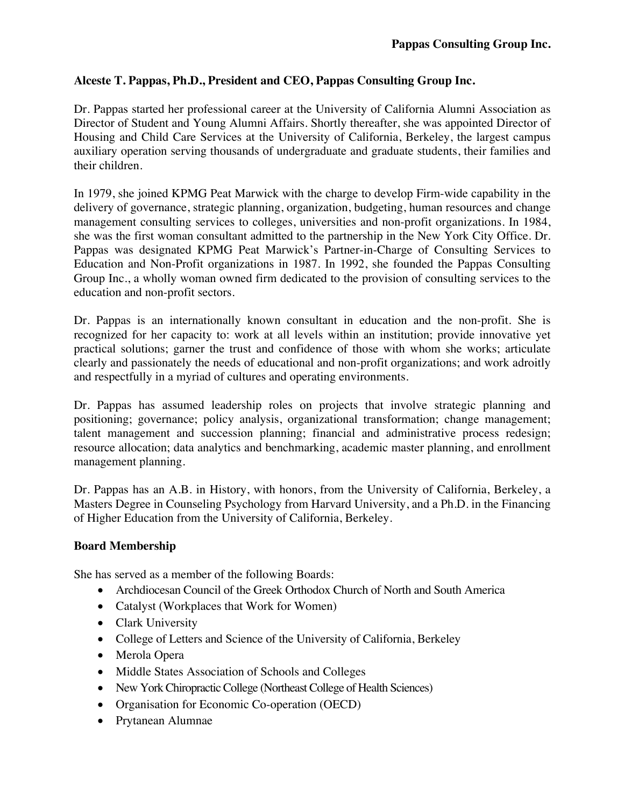## **Alceste T. Pappas, Ph.D., President and CEO, Pappas Consulting Group Inc.**

Dr. Pappas started her professional career at the University of California Alumni Association as Director of Student and Young Alumni Affairs. Shortly thereafter, she was appointed Director of Housing and Child Care Services at the University of California, Berkeley, the largest campus auxiliary operation serving thousands of undergraduate and graduate students, their families and their children.

In 1979, she joined KPMG Peat Marwick with the charge to develop Firm-wide capability in the delivery of governance, strategic planning, organization, budgeting, human resources and change management consulting services to colleges, universities and non-profit organizations. In 1984, she was the first woman consultant admitted to the partnership in the New York City Office. Dr. Pappas was designated KPMG Peat Marwick's Partner-in-Charge of Consulting Services to Education and Non-Profit organizations in 1987. In 1992, she founded the Pappas Consulting Group Inc., a wholly woman owned firm dedicated to the provision of consulting services to the education and non-profit sectors.

Dr. Pappas is an internationally known consultant in education and the non-profit. She is recognized for her capacity to: work at all levels within an institution; provide innovative yet practical solutions; garner the trust and confidence of those with whom she works; articulate clearly and passionately the needs of educational and non-profit organizations; and work adroitly and respectfully in a myriad of cultures and operating environments.

Dr. Pappas has assumed leadership roles on projects that involve strategic planning and positioning; governance; policy analysis, organizational transformation; change management; talent management and succession planning; financial and administrative process redesign; resource allocation; data analytics and benchmarking, academic master planning, and enrollment management planning.

Dr. Pappas has an A.B. in History, with honors, from the University of California, Berkeley, a Masters Degree in Counseling Psychology from Harvard University, and a Ph.D. in the Financing of Higher Education from the University of California, Berkeley.

## **Board Membership**

She has served as a member of the following Boards:

- Archdiocesan Council of the Greek Orthodox Church of North and South America
- Catalyst (Workplaces that Work for Women)
- Clark University
- College of Letters and Science of the University of California, Berkeley
- Merola Opera
- Middle States Association of Schools and Colleges
- New York Chiropractic College (Northeast College of Health Sciences)
- Organisation for Economic Co-operation (OECD)
- Prytanean Alumnae